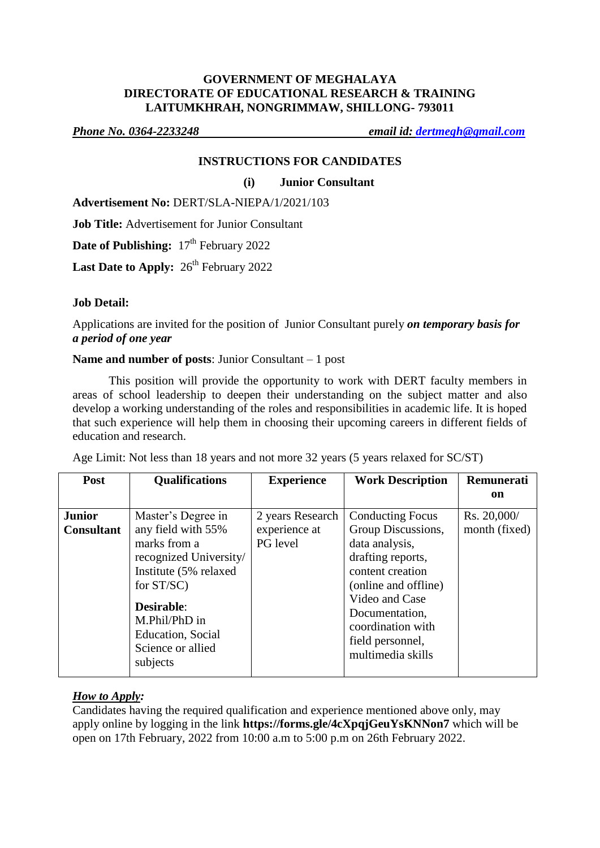#### **GOVERNMENT OF MEGHALAYA DIRECTORATE OF EDUCATIONAL RESEARCH & TRAINING LAITUMKHRAH, NONGRIMMAW, SHILLONG- 793011**

*Phone No. 0364-2233248 email id: [dertmegh@gmail.com](mailto:dertmegh@gmail.com)*

### **INSTRUCTIONS FOR CANDIDATES**

**(i) Junior Consultant** 

**Advertisement No:** DERT/SLA-NIEPA/1/2021/103

**Job Title:** Advertisement for Junior Consultant

**Date of Publishing:** 17<sup>th</sup> February 2022

Last Date to Apply:  $26<sup>th</sup>$  February 2022

#### **Job Detail:**

Applications are invited for the position of Junior Consultant purely *on temporary basis for a period of one year*

**Name and number of posts**: Junior Consultant – 1 post

This position will provide the opportunity to work with DERT faculty members in areas of school leadership to deepen their understanding on the subject matter and also develop a working understanding of the roles and responsibilities in academic life. It is hoped that such experience will help them in choosing their upcoming careers in different fields of education and research.

| Post                               | <b>Qualifications</b>                                                                                                                                              | <b>Experience</b>                             | <b>Work Description</b>                                                                                                                                                                   | Remunerati                   |
|------------------------------------|--------------------------------------------------------------------------------------------------------------------------------------------------------------------|-----------------------------------------------|-------------------------------------------------------------------------------------------------------------------------------------------------------------------------------------------|------------------------------|
|                                    |                                                                                                                                                                    |                                               |                                                                                                                                                                                           | on                           |
| <b>Junior</b><br><b>Consultant</b> | Master's Degree in<br>any field with 55%<br>marks from a<br>recognized University/<br>Institute (5% relaxed<br>for $ST/SC$ )<br><b>Desirable:</b><br>M.Phil/PhD in | 2 years Research<br>experience at<br>PG level | <b>Conducting Focus</b><br>Group Discussions,<br>data analysis,<br>drafting reports,<br>content creation<br>(online and offline)<br>Video and Case<br>Documentation,<br>coordination with | Rs. 20,000/<br>month (fixed) |
|                                    | Education, Social<br>Science or allied<br>subjects                                                                                                                 |                                               | field personnel,<br>multimedia skills                                                                                                                                                     |                              |

Age Limit: Not less than 18 years and not more 32 years (5 years relaxed for SC/ST)

# *How to Apply:*

Candidates having the required qualification and experience mentioned above only, may apply online by logging in the link **https://forms.gle/4cXpqjGeuYsKNNon7** which will be open on 17th February, 2022 from 10:00 a.m to 5:00 p.m on 26th February 2022.